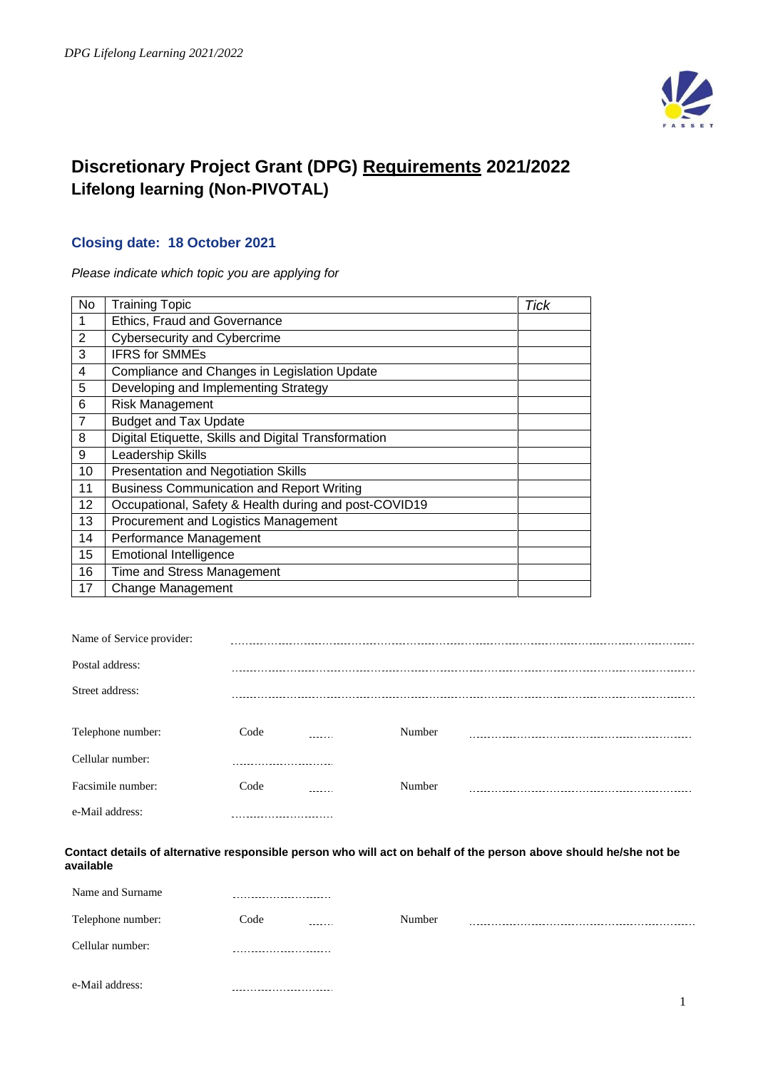

# **Discretionary Project Grant (DPG) Requirements 2021/2022 Lifelong learning (Non-PIVOTAL)**

## **Closing date: 18 October 2021**

*Please indicate which topic you are applying for*

| No             | <b>Training Topic</b>                                 | <b>Tick</b> |
|----------------|-------------------------------------------------------|-------------|
| 1              | Ethics, Fraud and Governance                          |             |
| $\overline{2}$ | Cybersecurity and Cybercrime                          |             |
| 3              | <b>IFRS for SMMEs</b>                                 |             |
| 4              | Compliance and Changes in Legislation Update          |             |
| 5              | Developing and Implementing Strategy                  |             |
| 6              | <b>Risk Management</b>                                |             |
| 7              | <b>Budget and Tax Update</b>                          |             |
| 8              | Digital Etiquette, Skills and Digital Transformation  |             |
| 9              | Leadership Skills                                     |             |
| 10             | <b>Presentation and Negotiation Skills</b>            |             |
| 11             | <b>Business Communication and Report Writing</b>      |             |
| 12             | Occupational, Safety & Health during and post-COVID19 |             |
| 13             | Procurement and Logistics Management                  |             |
| 14             | Performance Management                                |             |
| 15             | <b>Emotional Intelligence</b>                         |             |
| 16             | Time and Stress Management                            |             |
| 17             | <b>Change Management</b>                              |             |

| Name of Service provider: |                               |        |        |  |
|---------------------------|-------------------------------|--------|--------|--|
| Postal address:           |                               |        |        |  |
| Street address:           |                               |        |        |  |
|                           |                               |        |        |  |
| Telephone number:         | Code                          | ------ | Number |  |
| Cellular number:          |                               |        |        |  |
| Facsimile number:         | Code                          |        | Number |  |
| e-Mail address:           | ----------------------------- |        |        |  |

#### **Contact details of alternative responsible person who will act on behalf of the person above should he/she not be available**

| Name and Surname  | -------------------------- |         |        |  |
|-------------------|----------------------------|---------|--------|--|
| Telephone number: | Code                       | ------- | Number |  |
| Cellular number:  |                            |         |        |  |
| e-Mail address:   |                            |         |        |  |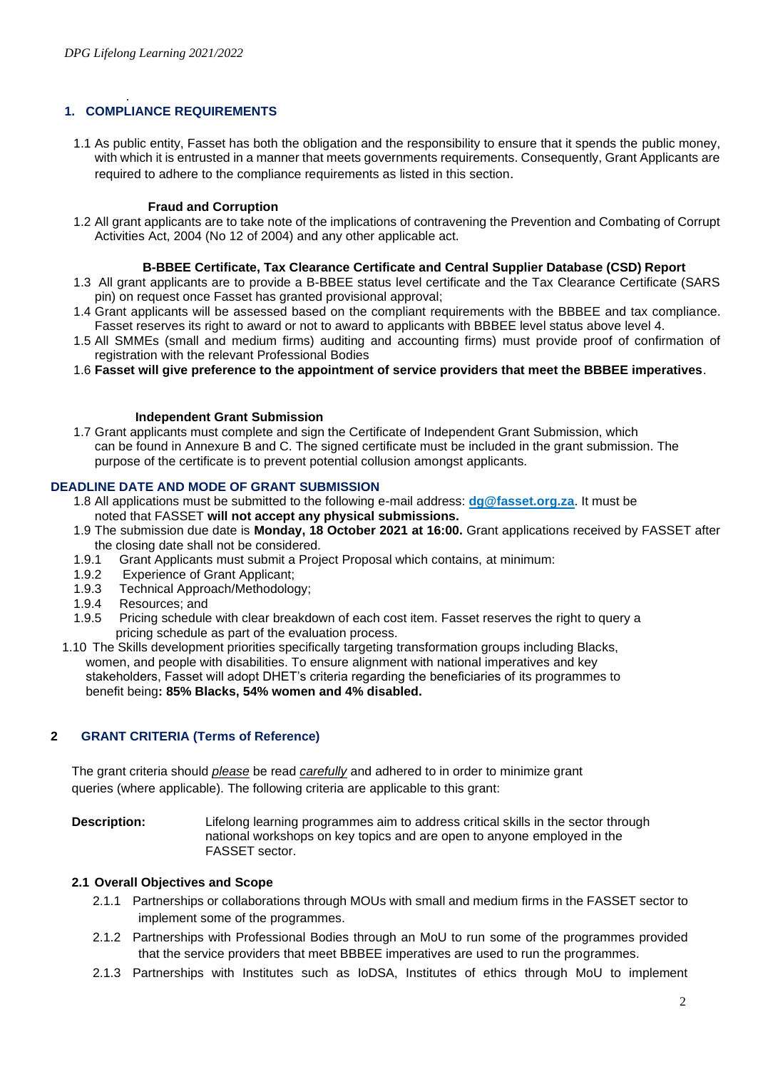#### . **1. COMPLIANCE REQUIREMENTS**

1.1 As public entity, Fasset has both the obligation and the responsibility to ensure that it spends the public money, with which it is entrusted in a manner that meets governments requirements. Consequently, Grant Applicants are required to adhere to the compliance requirements as listed in this section.

#### **Fraud and Corruption**

1.2 All grant applicants are to take note of the implications of contravening the Prevention and Combating of Corrupt Activities Act, 2004 (No 12 of 2004) and any other applicable act.

#### **B-BBEE Certificate, Tax Clearance Certificate and Central Supplier Database (CSD) Report**

- 1.3 All grant applicants are to provide a B-BBEE status level certificate and the Tax Clearance Certificate (SARS pin) on request once Fasset has granted provisional approval;
- 1.4 Grant applicants will be assessed based on the compliant requirements with the BBBEE and tax compliance. Fasset reserves its right to award or not to award to applicants with BBBEE level status above level 4.
- 1.5 All SMMEs (small and medium firms) auditing and accounting firms) must provide proof of confirmation of registration with the relevant Professional Bodies
- 1.6 **Fasset will give preference to the appointment of service providers that meet the BBBEE imperatives**.

#### **Independent Grant Submission**

1.7 Grant applicants must complete and sign the Certificate of Independent Grant Submission, which can be found in Annexure B and C. The signed certificate must be included in the grant submission. The purpose of the certificate is to prevent potential collusion amongst applicants.

#### **DEADLINE DATE AND MODE OF GRANT SUBMISSION**

- 1.8 All applications must be submitted to the following e-mail address: **dg@fasset.org.za**. It must be noted that FASSET **will not accept any physical submissions.**
- 1.9 The submission due date is **Monday, 18 October 2021 at 16:00.** Grant applications received by FASSET after the closing date shall not be considered.
- 1.9.1 Grant Applicants must submit a Project Proposal which contains, at minimum:
- 1.9.2 Experience of Grant Applicant;
- 1.9.3 Technical Approach/Methodology;
- 1.9.4 Resources; and
- 1.9.5 Pricing schedule with clear breakdown of each cost item. Fasset reserves the right to query a pricing schedule as part of the evaluation process.
- 1.10 The Skills development priorities specifically targeting transformation groups including Blacks, women, and people with disabilities. To ensure alignment with national imperatives and key stakeholders, Fasset will adopt DHET's criteria regarding the beneficiaries of its programmes to benefit being**: 85% Blacks, 54% women and 4% disabled.**

#### **2 GRANT CRITERIA (Terms of Reference)**

The grant criteria should *please* be read *carefully* and adhered to in order to minimize grant queries (where applicable). The following criteria are applicable to this grant:

**Description:** Lifelong learning programmes aim to address critical skills in the sector through national workshops on key topics and are open to anyone employed in the FASSET sector.

#### **2.1 Overall Objectives and Scope**

- 2.1.1 Partnerships or collaborations through MOUs with small and medium firms in the FASSET sector to implement some of the programmes.
- 2.1.2 Partnerships with Professional Bodies through an MoU to run some of the programmes provided that the service providers that meet BBBEE imperatives are used to run the programmes.
- 2.1.3 Partnerships with Institutes such as IoDSA, Institutes of ethics through MoU to implement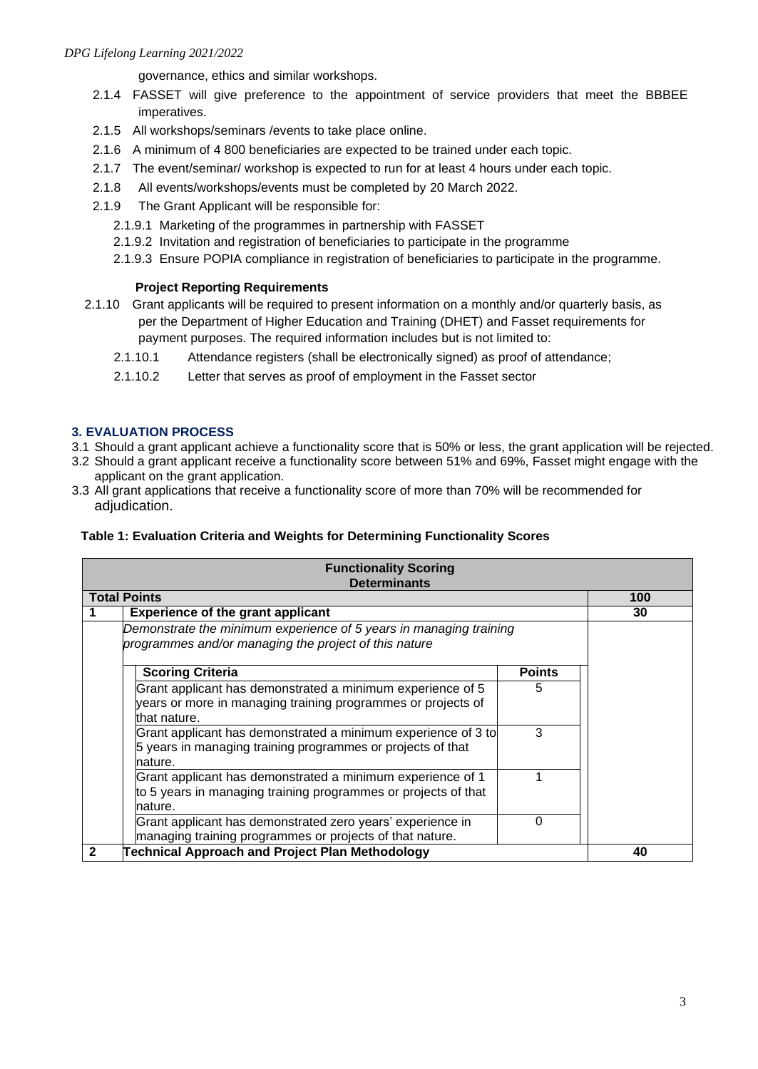governance, ethics and similar workshops.

- 2.1.4 FASSET will give preference to the appointment of service providers that meet the BBBEE imperatives.
- 2.1.5 All workshops/seminars /events to take place online.
- 2.1.6 A minimum of 4 800 beneficiaries are expected to be trained under each topic.
- 2.1.7 The event/seminar/ workshop is expected to run for at least 4 hours under each topic.
- 2.1.8 All events/workshops/events must be completed by 20 March 2022.
- 2.1.9 The Grant Applicant will be responsible for:
	- 2.1.9.1 Marketing of the programmes in partnership with FASSET
	- 2.1.9.2 Invitation and registration of beneficiaries to participate in the programme
	- 2.1.9.3 Ensure POPIA compliance in registration of beneficiaries to participate in the programme.

### **Project Reporting Requirements**

- 2.1.10 Grant applicants will be required to present information on a monthly and/or quarterly basis, as per the Department of Higher Education and Training (DHET) and Fasset requirements for payment purposes. The required information includes but is not limited to:
	- 2.1.10.1 Attendance registers (shall be electronically signed) as proof of attendance;
	- 2.1.10.2 Letter that serves as proof of employment in the Fasset sector

## **3. EVALUATION PROCESS**

- 3.1 Should a grant applicant achieve a functionality score that is 50% or less, the grant application will be rejected.
- 3.2 Should a grant applicant receive a functionality score between 51% and 69%, Fasset might engage with the applicant on the grant application.
- 3.3 All grant applications that receive a functionality score of more than 70% will be recommended for adjudication.

## **Table 1: Evaluation Criteria and Weights for Determining Functionality Scores**

| <b>Functionality Scoring</b><br><b>Determinants</b>                |     |
|--------------------------------------------------------------------|-----|
| <b>Total Points</b>                                                | 100 |
| <b>Experience of the grant applicant</b>                           | 30  |
| Demonstrate the minimum experience of 5 years in managing training |     |
| programmes and/or managing the project of this nature              |     |
|                                                                    |     |
| <b>Scoring Criteria</b><br><b>Points</b>                           |     |
| Grant applicant has demonstrated a minimum experience of 5<br>5    |     |
| years or more in managing training programmes or projects of       |     |
| that nature.                                                       |     |
| 3<br>Grant applicant has demonstrated a minimum experience of 3 to |     |
| 5 years in managing training programmes or projects of that        |     |
| nature.                                                            |     |
| Grant applicant has demonstrated a minimum experience of 1         |     |
| to 5 years in managing training programmes or projects of that     |     |
| nature.                                                            |     |
| Grant applicant has demonstrated zero years' experience in<br>0    |     |
| managing training programmes or projects of that nature.           |     |
| <b>Technical Approach and Project Plan Methodology</b><br>2        | 40  |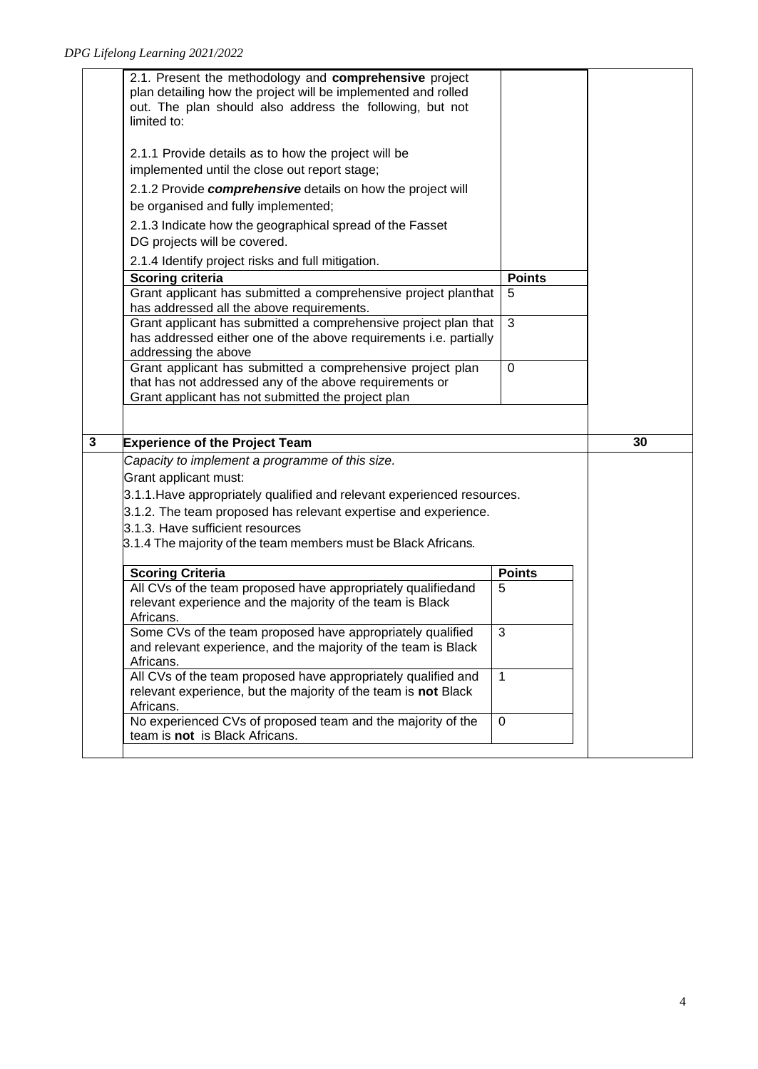|   | 2.1. Present the methodology and comprehensive project<br>plan detailing how the project will be implemented and rolled<br>out. The plan should also address the following, but not<br>limited to:          |                    |    |
|---|-------------------------------------------------------------------------------------------------------------------------------------------------------------------------------------------------------------|--------------------|----|
|   | 2.1.1 Provide details as to how the project will be<br>implemented until the close out report stage;                                                                                                        |                    |    |
|   | 2.1.2 Provide comprehensive details on how the project will<br>be organised and fully implemented;                                                                                                          |                    |    |
|   | 2.1.3 Indicate how the geographical spread of the Fasset<br>DG projects will be covered.                                                                                                                    |                    |    |
|   | 2.1.4 Identify project risks and full mitigation.                                                                                                                                                           |                    |    |
|   | <b>Scoring criteria</b>                                                                                                                                                                                     | <b>Points</b>      |    |
|   | Grant applicant has submitted a comprehensive project planthat<br>has addressed all the above requirements.                                                                                                 | 5                  |    |
|   | Grant applicant has submitted a comprehensive project plan that<br>has addressed either one of the above requirements i.e. partially<br>addressing the above                                                | 3                  |    |
|   | Grant applicant has submitted a comprehensive project plan<br>that has not addressed any of the above requirements or<br>Grant applicant has not submitted the project plan                                 | 0                  |    |
|   |                                                                                                                                                                                                             |                    |    |
|   |                                                                                                                                                                                                             |                    |    |
| 3 | <b>Experience of the Project Team</b><br>Capacity to implement a programme of this size.                                                                                                                    |                    | 30 |
|   | Grant applicant must:                                                                                                                                                                                       |                    |    |
|   | 3.1.1. Have appropriately qualified and relevant experienced resources.                                                                                                                                     |                    |    |
|   | 3.1.2. The team proposed has relevant expertise and experience.                                                                                                                                             |                    |    |
|   | 3.1.3. Have sufficient resources<br>3.1.4 The majority of the team members must be Black Africans.                                                                                                          |                    |    |
|   |                                                                                                                                                                                                             |                    |    |
|   | <b>Scoring Criteria</b><br>All CVs of the team proposed have appropriately qualifiedand<br>relevant experience and the majority of the team is Black<br>Africans.                                           | <b>Points</b><br>5 |    |
|   | Some CVs of the team proposed have appropriately qualified<br>and relevant experience, and the majority of the team is Black<br>Africans.                                                                   | 3                  |    |
|   | All CVs of the team proposed have appropriately qualified and<br>relevant experience, but the majority of the team is not Black<br>Africans.<br>No experienced CVs of proposed team and the majority of the | $\mathbf{1}$       |    |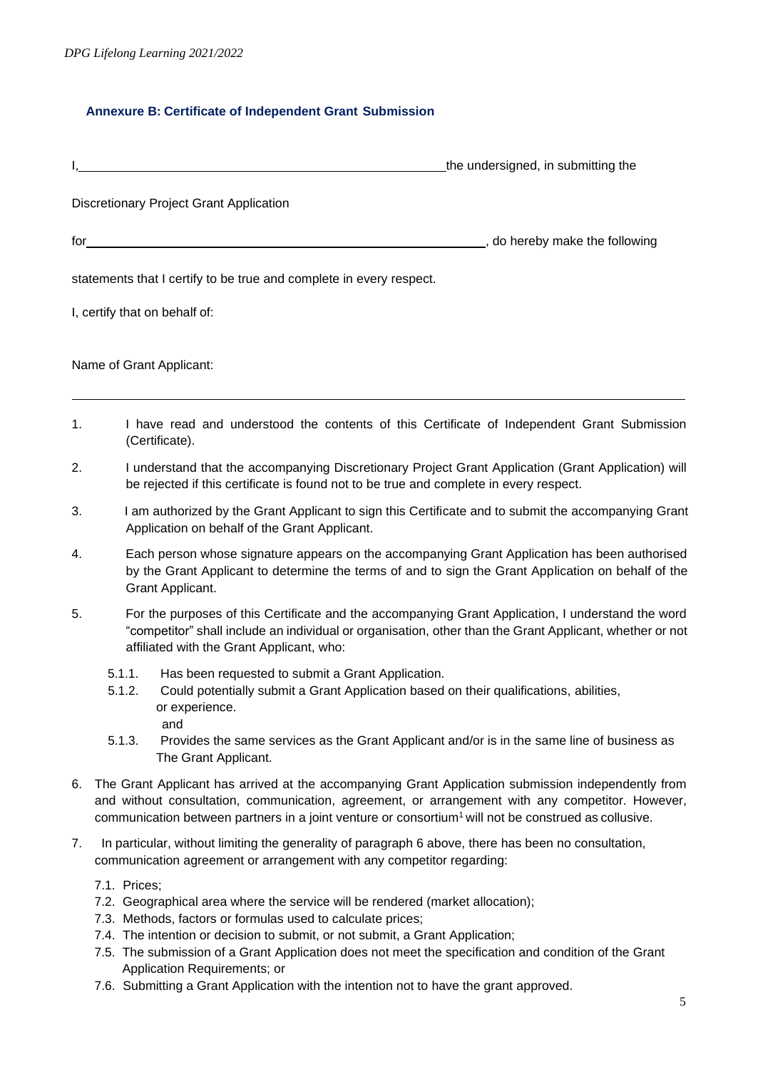## **Annexure B: Certificate of Independent Grant Submission**

|     | the undersigned, in submitting the                                                                                                                                                                                                                                                                                                                                                      |
|-----|-----------------------------------------------------------------------------------------------------------------------------------------------------------------------------------------------------------------------------------------------------------------------------------------------------------------------------------------------------------------------------------------|
|     | Discretionary Project Grant Application                                                                                                                                                                                                                                                                                                                                                 |
| for | _, do hereby make the following<br><u> 1989 - Johann Stein, mars an deutscher Stein († 1989)</u>                                                                                                                                                                                                                                                                                        |
|     | statements that I certify to be true and complete in every respect.                                                                                                                                                                                                                                                                                                                     |
|     | I, certify that on behalf of:                                                                                                                                                                                                                                                                                                                                                           |
|     | Name of Grant Applicant:                                                                                                                                                                                                                                                                                                                                                                |
| 1.  | I have read and understood the contents of this Certificate of Independent Grant Submission<br>(Certificate).                                                                                                                                                                                                                                                                           |
| 2.  | I understand that the accompanying Discretionary Project Grant Application (Grant Application) will<br>be rejected if this certificate is found not to be true and complete in every respect.                                                                                                                                                                                           |
| 3.  | I am authorized by the Grant Applicant to sign this Certificate and to submit the accompanying Grant<br>Application on behalf of the Grant Applicant.                                                                                                                                                                                                                                   |
| 4.  | Each person whose signature appears on the accompanying Grant Application has been authorised<br>by the Grant Applicant to determine the terms of and to sign the Grant Application on behalf of the<br>Grant Applicant.                                                                                                                                                                |
| 5.  | For the purposes of this Certificate and the accompanying Grant Application, I understand the word<br>"competitor" shall include an individual or organisation, other than the Grant Applicant, whether or not<br>affiliated with the Grant Applicant, who:                                                                                                                             |
|     | 5.1.1.<br>Has been requested to submit a Grant Application.<br>Could potentially submit a Grant Application based on their qualifications, abilities,<br>5.1.2.<br>or experience.<br>and<br>5.1.3.<br>Provides the same services as the Grant Applicant and/or is in the same line of business as                                                                                       |
|     | The Grant Applicant.                                                                                                                                                                                                                                                                                                                                                                    |
| 6.  | The Grant Applicant has arrived at the accompanying Grant Application submission independently from<br>and without consultation, communication, agreement, or arrangement with any competitor. However,<br>communication between partners in a joint venture or consortium <sup>1</sup> will not be construed as collusive.                                                             |
| 7.  | In particular, without limiting the generality of paragraph 6 above, there has been no consultation,<br>communication agreement or arrangement with any competitor regarding:                                                                                                                                                                                                           |
|     | 7.1. Prices;<br>7.2. Geographical area where the service will be rendered (market allocation);<br>7.3. Methods, factors or formulas used to calculate prices;<br>7.4. The intention or decision to submit, or not submit, a Grant Application;<br>7.5. The submission of a Grant Application does not meet the specification and condition of the Grant<br>Application Requirements; or |

7.6. Submitting a Grant Application with the intention not to have the grant approved.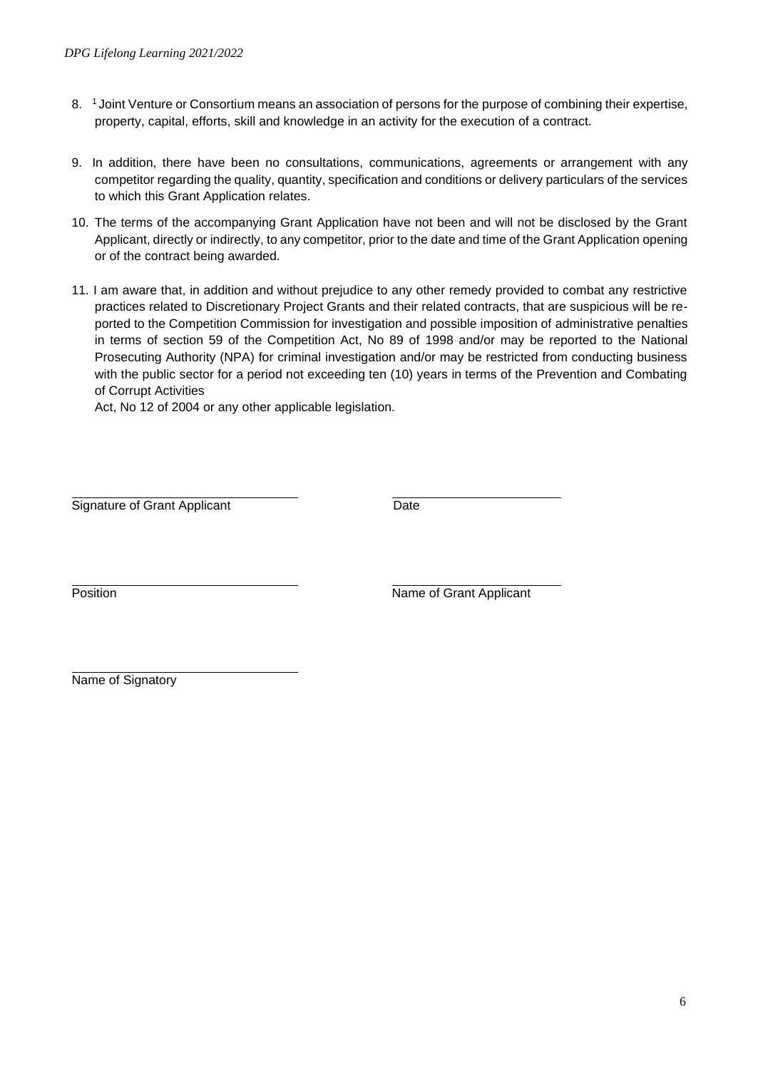- 8. <sup>1</sup> Joint Venture or Consortium means an association of persons for the purpose of combining their expertise, property, capital, efforts, skill and knowledge in an activity for the execution of a contract.
- 9. In addition, there have been no consultations, communications, agreements or arrangement with any competitor regarding the quality, quantity, specification and conditions or delivery particulars of the services to which this Grant Application relates.
- 10. The terms of the accompanying Grant Application have not been and will not be disclosed by the Grant Applicant, directly or indirectly, to any competitor, prior to the date and time of the Grant Application opening or of the contract being awarded.
- 11. I am aware that, in addition and without prejudice to any other remedy provided to combat any restrictive practices related to Discretionary Project Grants and their related contracts, that are suspicious will be reported to the Competition Commission for investigation and possible imposition of administrative penalties in terms of section 59 of the Competition Act, No 89 of 1998 and/or may be reported to the National Prosecuting Authority (NPA) for criminal investigation and/or may be restricted from conducting business with the public sector for a period not exceeding ten (10) years in terms of the Prevention and Combating of Corrupt Activities

Act, No 12 of 2004 or any other applicable legislation.

Signature of Grant Applicant **Date** 

Position Name of Grant Applicant

Name of Signatory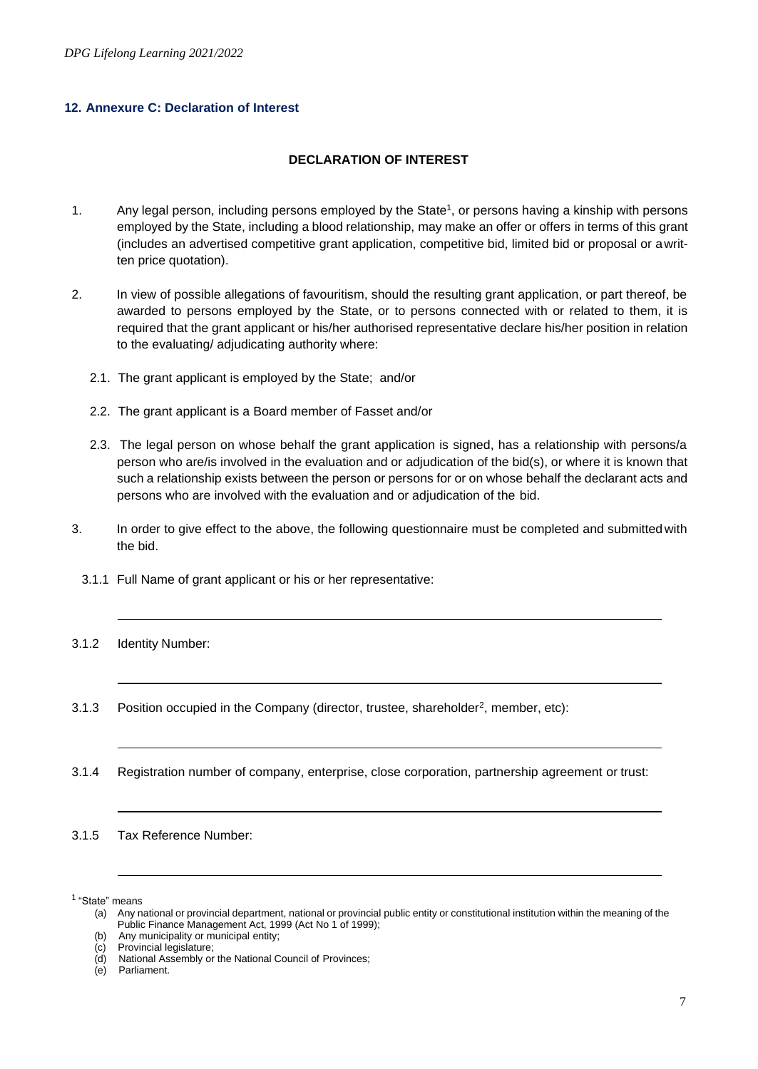### **12. Annexure C: Declaration of Interest**

#### **DECLARATION OF INTEREST**

- 1. Any legal person, including persons employed by the State<sup>1</sup>, or persons having a kinship with persons employed by the State, including a blood relationship, may make an offer or offers in terms of this grant (includes an advertised competitive grant application, competitive bid, limited bid or proposal or awritten price quotation).
- 2. In view of possible allegations of favouritism, should the resulting grant application, or part thereof, be awarded to persons employed by the State, or to persons connected with or related to them, it is required that the grant applicant or his/her authorised representative declare his/her position in relation to the evaluating/ adjudicating authority where:
	- 2.1. The grant applicant is employed by the State; and/or
	- 2.2. The grant applicant is a Board member of Fasset and/or
	- 2.3. The legal person on whose behalf the grant application is signed, has a relationship with persons/a person who are/is involved in the evaluation and or adjudication of the bid(s), or where it is known that such a relationship exists between the person or persons for or on whose behalf the declarant acts and persons who are involved with the evaluation and or adjudication of the bid.
- 3. In order to give effect to the above, the following questionnaire must be completed and submitted with the bid.
	- 3.1.1 Full Name of grant applicant or his or her representative:
- 3.1.2 Identity Number:
- 3.1.3 Position occupied in the Company (director, trustee, shareholder<sup>2</sup>, member, etc):
- 3.1.4 Registration number of company, enterprise, close corporation, partnership agreement or trust:

3.1.5 Tax Reference Number:

<sup>1</sup> "State" means

<sup>(</sup>a) Any national or provincial department, national or provincial public entity or constitutional institution within the meaning of the Public Finance Management Act, 1999 (Act No 1 of 1999);

<sup>(</sup>b) Any municipality or municipal entity;<br>(c) Provincial legislature;

Provincial legislature;

<sup>(</sup>d) National Assembly or the National Council of Provinces;

<sup>(</sup>e) Parliament.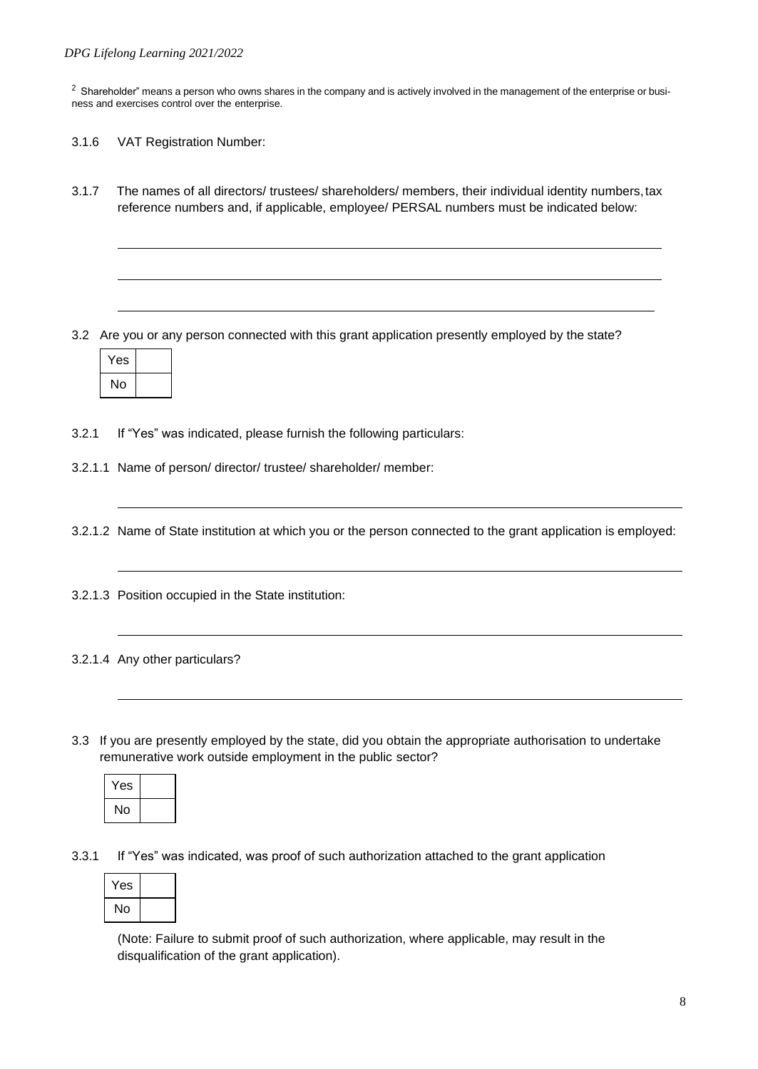$2$  Shareholder" means a person who owns shares in the company and is actively involved in the management of the enterprise or business and exercises control over the enterprise.

- 3.1.6 VAT Registration Number:
- 3.1.7 The names of all directors/ trustees/ shareholders/ members, their individual identity numbers,tax reference numbers and, if applicable, employee/ PERSAL numbers must be indicated below:

3.2 Are you or any person connected with this grant application presently employed by the state?

| 'es |  |
|-----|--|
| No  |  |

3.2.1 If "Yes" was indicated, please furnish the following particulars:

3.2.1.1 Name of person/ director/ trustee/ shareholder/ member:

3.2.1.2 Name of State institution at which you or the person connected to the grant application is employed:

- 3.2.1.3 Position occupied in the State institution:
- 3.2.1.4 Any other particulars?
- 3.3 If you are presently employed by the state, did you obtain the appropriate authorisation to undertake remunerative work outside employment in the public sector?

| Yes |  |
|-----|--|
| No  |  |

3.3.1 If "Yes" was indicated, was proof of such authorization attached to the grant application

| Yes |  |
|-----|--|
| No  |  |

(Note: Failure to submit proof of such authorization, where applicable, may result in the disqualification of the grant application).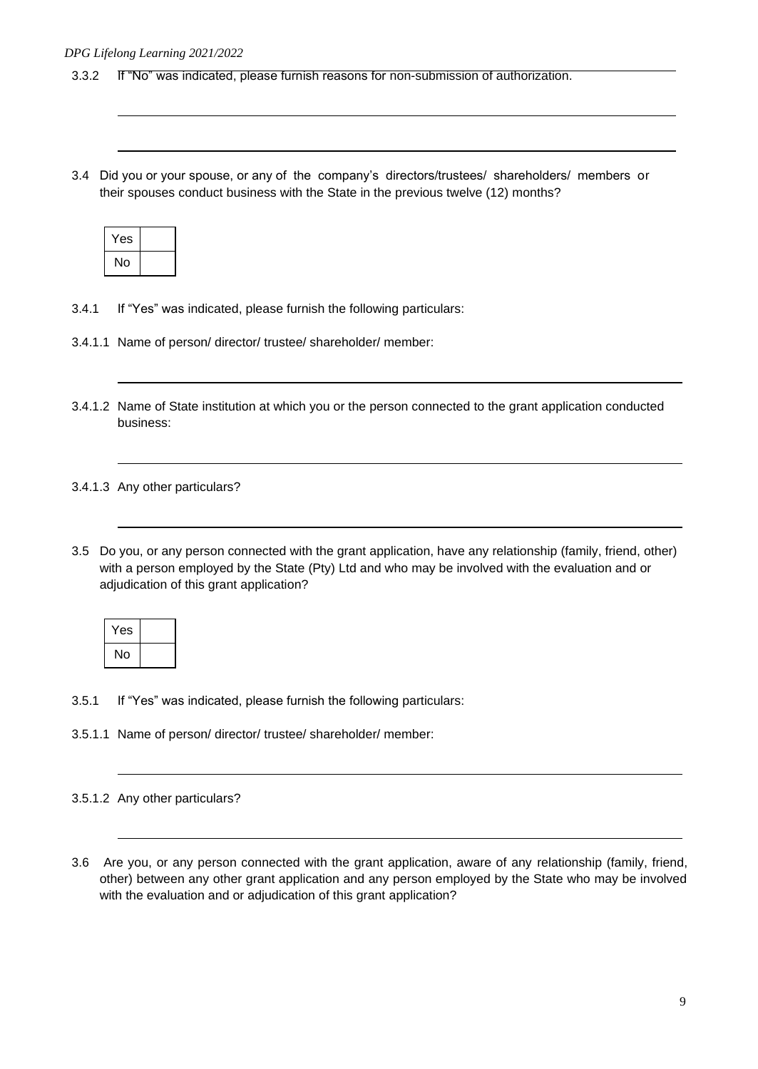- 3.3.2 If "No" was indicated, please furnish reasons for non-submission of authorization.
- 3.4 Did you or your spouse, or any of the company's directors/trustees/ shareholders/ members or their spouses conduct business with the State in the previous twelve (12) months?

| Yes |  |
|-----|--|
| No  |  |

- 3.4.1 If "Yes" was indicated, please furnish the following particulars:
- 3.4.1.1 Name of person/ director/ trustee/ shareholder/ member:
- 3.4.1.2 Name of State institution at which you or the person connected to the grant application conducted business:

3.4.1.3 Any other particulars?

3.5 Do you, or any person connected with the grant application, have any relationship (family, friend, other) with a person employed by the State (Pty) Ltd and who may be involved with the evaluation and or adjudication of this grant application?

| ⁄es |  |
|-----|--|
| No  |  |

3.5.1 If "Yes" was indicated, please furnish the following particulars:

3.5.1.1 Name of person/ director/ trustee/ shareholder/ member:

3.5.1.2 Any other particulars?

3.6 Are you, or any person connected with the grant application, aware of any relationship (family, friend, other) between any other grant application and any person employed by the State who may be involved with the evaluation and or adjudication of this grant application?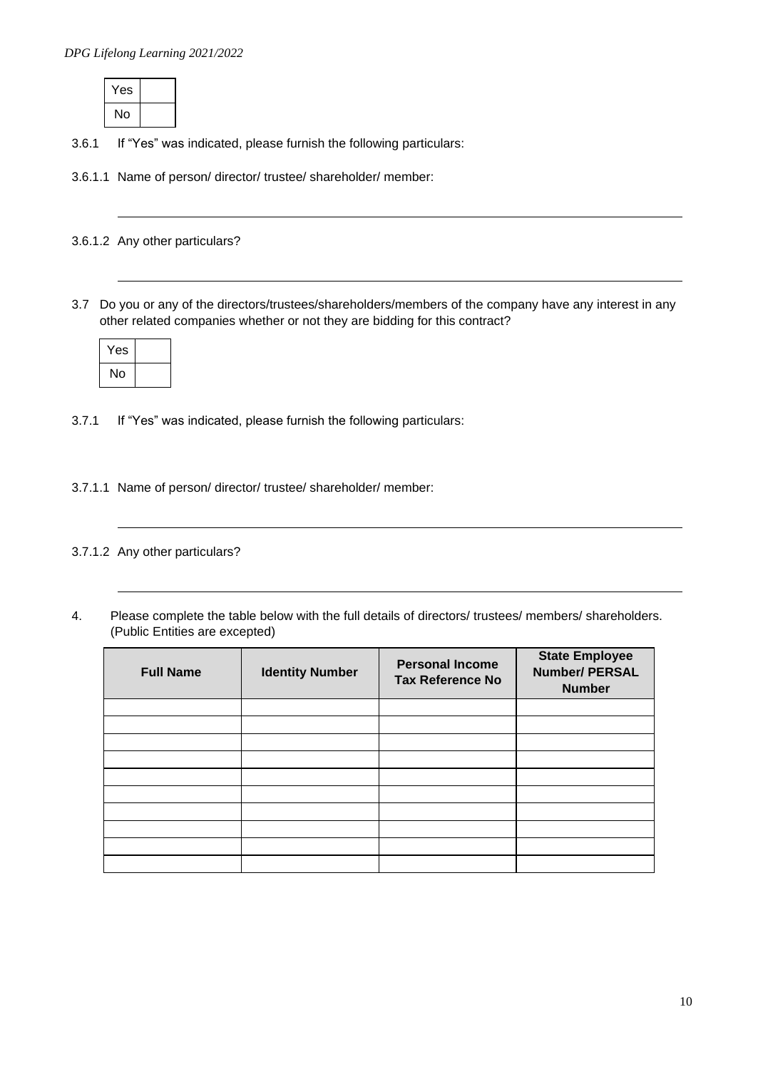| Yes |  |
|-----|--|
| lo  |  |

3.6.1 If "Yes" was indicated, please furnish the following particulars:

3.6.1.1 Name of person/ director/ trustee/ shareholder/ member:

3.6.1.2 Any other particulars?

3.7 Do you or any of the directors/trustees/shareholders/members of the company have any interest in any other related companies whether or not they are bidding for this contract?

| Yes |  |
|-----|--|
| No  |  |

3.7.1 If "Yes" was indicated, please furnish the following particulars:

3.7.1.1 Name of person/ director/ trustee/ shareholder/ member:

3.7.1.2 Any other particulars?

4. Please complete the table below with the full details of directors/ trustees/ members/ shareholders. (Public Entities are excepted)

| <b>Full Name</b> | <b>Identity Number</b> | <b>Personal Income</b><br><b>Tax Reference No</b> | <b>State Employee</b><br><b>Number/ PERSAL</b><br><b>Number</b> |
|------------------|------------------------|---------------------------------------------------|-----------------------------------------------------------------|
|                  |                        |                                                   |                                                                 |
|                  |                        |                                                   |                                                                 |
|                  |                        |                                                   |                                                                 |
|                  |                        |                                                   |                                                                 |
|                  |                        |                                                   |                                                                 |
|                  |                        |                                                   |                                                                 |
|                  |                        |                                                   |                                                                 |
|                  |                        |                                                   |                                                                 |
|                  |                        |                                                   |                                                                 |
|                  |                        |                                                   |                                                                 |